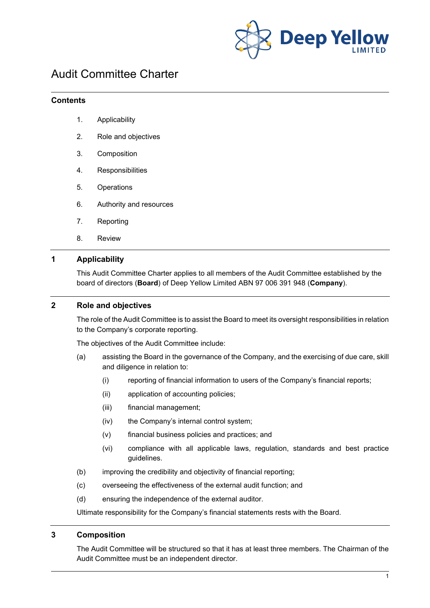

# Audit Committee Charter

## **Contents**

- 1. Applicability
- 2. Role and objectives
- 3. Composition
- 4. Responsibilities
- 5. Operations
- 6. Authority and resources
- 7. Reporting
- 8. Review

# **1 Applicability**

This Audit Committee Charter applies to all members of the Audit Committee established by the board of directors (**Board**) of Deep Yellow Limited ABN 97 006 391 948 (**Company**).

## **2 Role and objectives**

The role of the Audit Committee is to assist the Board to meet its oversight responsibilities in relation to the Company's corporate reporting.

The objectives of the Audit Committee include:

- (a) assisting the Board in the governance of the Company, and the exercising of due care, skill and diligence in relation to:
	- (i) reporting of financial information to users of the Company's financial reports;
	- (ii) application of accounting policies;
	- (iii) financial management;
	- (iv) the Company's internal control system;
	- (v) financial business policies and practices; and
	- (vi) compliance with all applicable laws, regulation, standards and best practice guidelines.
- (b) improving the credibility and objectivity of financial reporting;
- (c) overseeing the effectiveness of the external audit function; and
- (d) ensuring the independence of the external auditor.

Ultimate responsibility for the Company's financial statements rests with the Board.

#### **3 Composition**

The Audit Committee will be structured so that it has at least three members. The Chairman of the Audit Committee must be an independent director.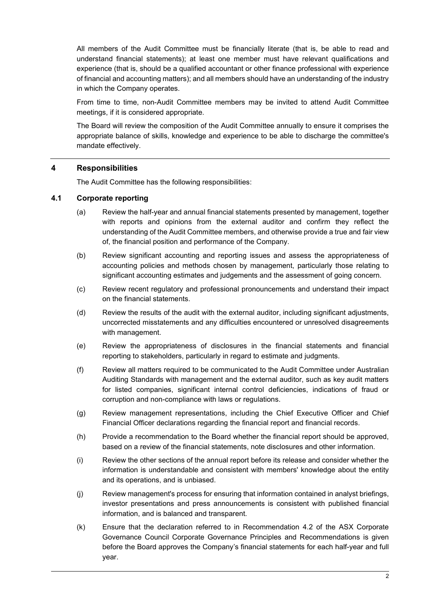All members of the Audit Committee must be financially literate (that is, be able to read and understand financial statements); at least one member must have relevant qualifications and experience (that is, should be a qualified accountant or other finance professional with experience of financial and accounting matters); and all members should have an understanding of the industry in which the Company operates.

From time to time, non-Audit Committee members may be invited to attend Audit Committee meetings, if it is considered appropriate.

The Board will review the composition of the Audit Committee annually to ensure it comprises the appropriate balance of skills, knowledge and experience to be able to discharge the committee's mandate effectively.

#### **4 Responsibilities**

The Audit Committee has the following responsibilities:

#### **4.1 Corporate reporting**

- (a) Review the half-year and annual financial statements presented by management, together with reports and opinions from the external auditor and confirm they reflect the understanding of the Audit Committee members, and otherwise provide a true and fair view of, the financial position and performance of the Company.
- (b) Review significant accounting and reporting issues and assess the appropriateness of accounting policies and methods chosen by management, particularly those relating to significant accounting estimates and judgements and the assessment of going concern.
- (c) Review recent regulatory and professional pronouncements and understand their impact on the financial statements.
- (d) Review the results of the audit with the external auditor, including significant adjustments, uncorrected misstatements and any difficulties encountered or unresolved disagreements with management.
- (e) Review the appropriateness of disclosures in the financial statements and financial reporting to stakeholders, particularly in regard to estimate and judgments.
- (f) Review all matters required to be communicated to the Audit Committee under Australian Auditing Standards with management and the external auditor, such as key audit matters for listed companies, significant internal control deficiencies, indications of fraud or corruption and non-compliance with laws or regulations.
- (g) Review management representations, including the Chief Executive Officer and Chief Financial Officer declarations regarding the financial report and financial records.
- (h) Provide a recommendation to the Board whether the financial report should be approved, based on a review of the financial statements, note disclosures and other information.
- (i) Review the other sections of the annual report before its release and consider whether the information is understandable and consistent with members' knowledge about the entity and its operations, and is unbiased.
- (j) Review management's process for ensuring that information contained in analyst briefings, investor presentations and press announcements is consistent with published financial information, and is balanced and transparent.
- (k) Ensure that the declaration referred to in Recommendation 4.2 of the ASX Corporate Governance Council Corporate Governance Principles and Recommendations is given before the Board approves the Company's financial statements for each half-year and full year.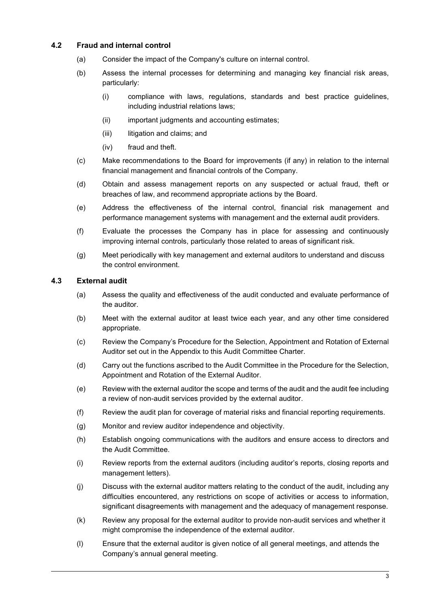## **4.2 Fraud and internal control**

- (a) Consider the impact of the Company's culture on internal control.
- (b) Assess the internal processes for determining and managing key financial risk areas, particularly:
	- (i) compliance with laws, regulations, standards and best practice guidelines, including industrial relations laws;
	- (ii) important judgments and accounting estimates;
	- (iii) litigation and claims; and
	- (iv) fraud and theft.
- (c) Make recommendations to the Board for improvements (if any) in relation to the internal financial management and financial controls of the Company.
- (d) Obtain and assess management reports on any suspected or actual fraud, theft or breaches of law, and recommend appropriate actions by the Board.
- (e) Address the effectiveness of the internal control, financial risk management and performance management systems with management and the external audit providers.
- (f) Evaluate the processes the Company has in place for assessing and continuously improving internal controls, particularly those related to areas of significant risk.
- (g) Meet periodically with key management and external auditors to understand and discuss the control environment.

## **4.3 External audit**

- (a) Assess the quality and effectiveness of the audit conducted and evaluate performance of the auditor.
- (b) Meet with the external auditor at least twice each year, and any other time considered appropriate.
- (c) Review the Company's Procedure for the Selection, Appointment and Rotation of External Auditor set out in the Appendix to this Audit Committee Charter.
- (d) Carry out the functions ascribed to the Audit Committee in the Procedure for the Selection, Appointment and Rotation of the External Auditor.
- (e) Review with the external auditor the scope and terms of the audit and the audit fee including a review of non-audit services provided by the external auditor.
- (f) Review the audit plan for coverage of material risks and financial reporting requirements.
- (g) Monitor and review auditor independence and objectivity.
- (h) Establish ongoing communications with the auditors and ensure access to directors and the Audit Committee.
- (i) Review reports from the external auditors (including auditor's reports, closing reports and management letters).
- (j) Discuss with the external auditor matters relating to the conduct of the audit, including any difficulties encountered, any restrictions on scope of activities or access to information, significant disagreements with management and the adequacy of management response.
- (k) Review any proposal for the external auditor to provide non-audit services and whether it might compromise the independence of the external auditor.
- (l) Ensure that the external auditor is given notice of all general meetings, and attends the Company's annual general meeting.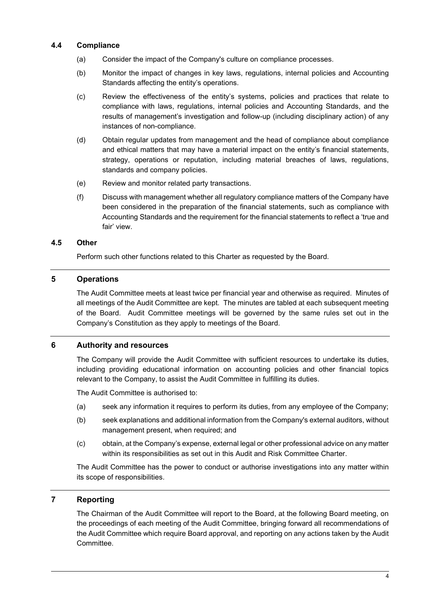#### **4.4 Compliance**

- (a) Consider the impact of the Company's culture on compliance processes.
- (b) Monitor the impact of changes in key laws, regulations, internal policies and Accounting Standards affecting the entity's operations.
- (c) Review the effectiveness of the entity's systems, policies and practices that relate to compliance with laws, regulations, internal policies and Accounting Standards, and the results of management's investigation and follow-up (including disciplinary action) of any instances of non-compliance.
- (d) Obtain regular updates from management and the head of compliance about compliance and ethical matters that may have a material impact on the entity's financial statements, strategy, operations or reputation, including material breaches of laws, regulations, standards and company policies.
- (e) Review and monitor related party transactions.
- (f) Discuss with management whether all regulatory compliance matters of the Company have been considered in the preparation of the financial statements, such as compliance with Accounting Standards and the requirement for the financial statements to reflect a 'true and fair' view.

#### **4.5 Other**

Perform such other functions related to this Charter as requested by the Board.

#### **5 Operations**

The Audit Committee meets at least twice per financial year and otherwise as required. Minutes of all meetings of the Audit Committee are kept. The minutes are tabled at each subsequent meeting of the Board. Audit Committee meetings will be governed by the same rules set out in the Company's Constitution as they apply to meetings of the Board.

### **6 Authority and resources**

The Company will provide the Audit Committee with sufficient resources to undertake its duties, including providing educational information on accounting policies and other financial topics relevant to the Company, to assist the Audit Committee in fulfilling its duties.

The Audit Committee is authorised to:

- (a) seek any information it requires to perform its duties, from any employee of the Company;
- (b) seek explanations and additional information from the Company's external auditors, without management present, when required; and
- (c) obtain, at the Company's expense, external legal or other professional advice on any matter within its responsibilities as set out in this Audit and Risk Committee Charter.

The Audit Committee has the power to conduct or authorise investigations into any matter within its scope of responsibilities.

## **7 Reporting**

The Chairman of the Audit Committee will report to the Board, at the following Board meeting, on the proceedings of each meeting of the Audit Committee, bringing forward all recommendations of the Audit Committee which require Board approval, and reporting on any actions taken by the Audit Committee.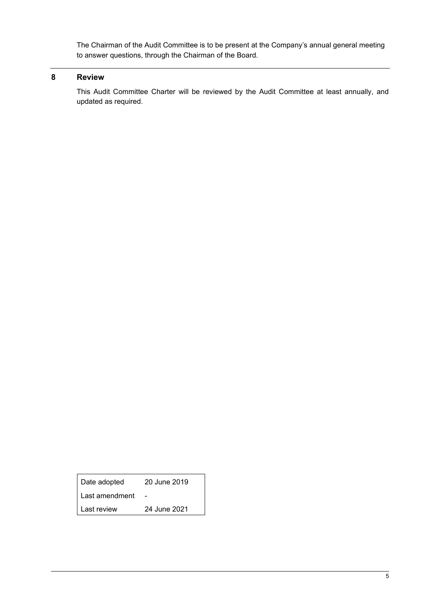The Chairman of the Audit Committee is to be present at the Company's annual general meeting to answer questions, through the Chairman of the Board.

# **8 Review**

This Audit Committee Charter will be reviewed by the Audit Committee at least annually, and updated as required.

Date adopted 20 June 2019

Last amendment -

Last review 24 June 2021